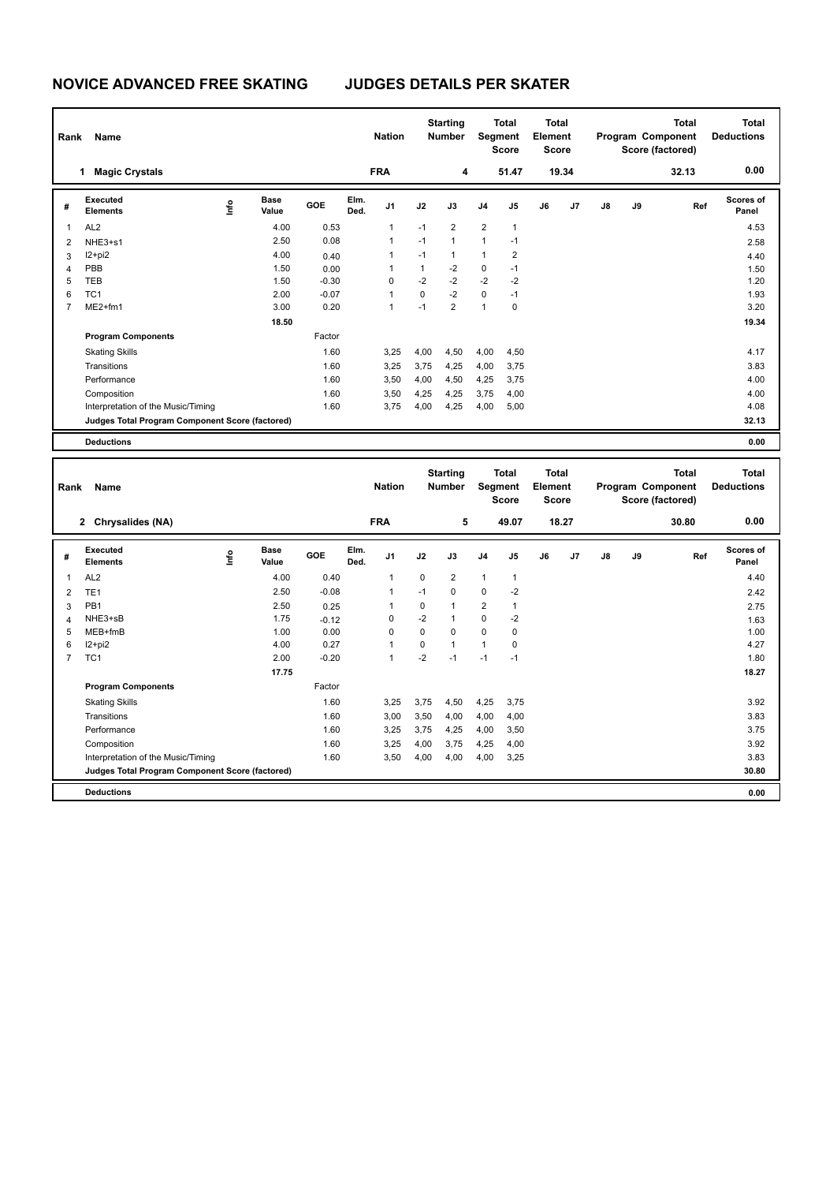| Name<br>Rank |                                                 |      |                      |         | <b>Starting</b><br><b>Nation</b><br><b>Number</b> |                | <b>Total</b><br>Segment<br><b>Score</b> |                | <b>Total</b><br>Element<br><b>Score</b> |                | <b>Total</b><br>Program Component<br>Score (factored) |       |               | <b>Total</b><br><b>Deductions</b> |       |                    |
|--------------|-------------------------------------------------|------|----------------------|---------|---------------------------------------------------|----------------|-----------------------------------------|----------------|-----------------------------------------|----------------|-------------------------------------------------------|-------|---------------|-----------------------------------|-------|--------------------|
|              | <b>Magic Crystals</b><br>1                      |      |                      |         |                                                   | <b>FRA</b>     |                                         | 4              |                                         | 51.47          |                                                       | 19.34 |               |                                   | 32.13 | 0.00               |
| #            | <b>Executed</b><br><b>Elements</b>              | ١nfo | <b>Base</b><br>Value | GOE     | Elm.<br>Ded.                                      | J <sub>1</sub> | J2                                      | J3             | J <sub>4</sub>                          | J5             | J6                                                    | J7    | $\mathsf{J}8$ | J9                                | Ref   | Scores of<br>Panel |
| 1            | AL <sub>2</sub>                                 |      | 4.00                 | 0.53    |                                                   | $\mathbf{1}$   | $-1$                                    | $\overline{2}$ | $\overline{2}$                          | $\mathbf{1}$   |                                                       |       |               |                                   |       | 4.53               |
| 2            | NHE3+s1                                         |      | 2.50                 | 0.08    |                                                   | $\mathbf{1}$   | $-1$                                    | $\mathbf{1}$   | $\mathbf{1}$                            | $-1$           |                                                       |       |               |                                   |       | 2.58               |
| 3            | I2+pi2                                          |      | 4.00                 | 0.40    |                                                   | $\mathbf{1}$   | $-1$                                    | 1              | 1                                       | $\overline{2}$ |                                                       |       |               |                                   |       | 4.40               |
| 4            | PBB                                             |      | 1.50                 | 0.00    |                                                   |                | $\mathbf{1}$                            | $-2$           | $\mathbf 0$                             | $-1$           |                                                       |       |               |                                   |       | 1.50               |
| 5            | TEB                                             |      | 1.50                 | $-0.30$ |                                                   | 0              | $-2$                                    | $-2$           | $-2$                                    | $-2$           |                                                       |       |               |                                   |       | 1.20               |
| 6            | TC <sub>1</sub>                                 |      | 2.00                 | $-0.07$ |                                                   | $\overline{1}$ | $\Omega$                                | $-2$           | $\mathbf 0$                             | $-1$           |                                                       |       |               |                                   |       | 1.93               |
|              | ME2+fm1                                         |      | 3.00                 | 0.20    |                                                   | $\mathbf 1$    | $-1$                                    | $\overline{2}$ | 1                                       | 0              |                                                       |       |               |                                   |       | 3.20               |
|              |                                                 |      | 18.50                |         |                                                   |                |                                         |                |                                         |                |                                                       |       |               |                                   |       | 19.34              |
|              | <b>Program Components</b>                       |      |                      | Factor  |                                                   |                |                                         |                |                                         |                |                                                       |       |               |                                   |       |                    |
|              | <b>Skating Skills</b>                           |      |                      | 1.60    |                                                   | 3,25           | 4,00                                    | 4,50           | 4,00                                    | 4,50           |                                                       |       |               |                                   |       | 4.17               |
|              | Transitions                                     |      |                      | 1.60    |                                                   | 3,25           | 3,75                                    | 4,25           | 4,00                                    | 3,75           |                                                       |       |               |                                   |       | 3.83               |
|              | Performance                                     |      |                      | 1.60    |                                                   | 3,50           | 4,00                                    | 4,50           | 4,25                                    | 3,75           |                                                       |       |               |                                   |       | 4.00               |
|              | Composition                                     |      |                      | 1.60    |                                                   | 3,50           | 4,25                                    | 4,25           | 3,75                                    | 4,00           |                                                       |       |               |                                   |       | 4.00               |
|              | Interpretation of the Music/Timing              |      |                      | 1.60    |                                                   | 3,75           | 4,00                                    | 4,25           | 4,00                                    | 5,00           |                                                       |       |               |                                   |       | 4.08               |
|              | Judges Total Program Component Score (factored) |      |                      |         |                                                   |                |                                         |                |                                         |                |                                                       |       |               |                                   |       | 32.13              |
|              | <b>Deductions</b>                               |      |                      |         |                                                   |                |                                         |                |                                         |                |                                                       |       |               |                                   |       | 0.00               |

| Rank           | <b>Name</b>                                     |      |                      |         |              | <b>Nation</b>  |          | <b>Starting</b><br><b>Number</b> |                | Total<br>Segment<br><b>Score</b> |    | <b>Total</b><br>Element<br><b>Score</b> |    | Program Component<br>Score (factored) | <b>Total</b><br><b>Deductions</b> |                           |
|----------------|-------------------------------------------------|------|----------------------|---------|--------------|----------------|----------|----------------------------------|----------------|----------------------------------|----|-----------------------------------------|----|---------------------------------------|-----------------------------------|---------------------------|
|                | 2 Chrysalides (NA)                              |      |                      |         |              | <b>FRA</b>     |          | 5                                |                | 49.07                            |    | 18.27                                   |    |                                       | 30.80                             | 0.00                      |
| #              | Executed<br><b>Elements</b>                     | lnfo | <b>Base</b><br>Value | GOE     | Elm.<br>Ded. | J <sub>1</sub> | J2       | J3                               | J <sub>4</sub> | J <sub>5</sub>                   | J6 | J7                                      | J8 | J9                                    | Ref                               | <b>Scores of</b><br>Panel |
| 1              | AL <sub>2</sub>                                 |      | 4.00                 | 0.40    |              | $\mathbf{1}$   | 0        | $\overline{2}$                   | $\mathbf{1}$   | $\mathbf{1}$                     |    |                                         |    |                                       |                                   | 4.40                      |
| 2              | TE <sub>1</sub>                                 |      | 2.50                 | $-0.08$ |              | $\mathbf{1}$   | $-1$     | $\Omega$                         | $\mathbf 0$    | $-2$                             |    |                                         |    |                                       |                                   | 2.42                      |
| 3              | PB1                                             |      | 2.50                 | 0.25    |              |                | 0        | 1                                | $\overline{2}$ | 1                                |    |                                         |    |                                       |                                   | 2.75                      |
| 4              | NHE3+sB                                         |      | 1.75                 | $-0.12$ |              | 0              | $-2$     | 1                                | $\mathbf 0$    | $-2$                             |    |                                         |    |                                       |                                   | 1.63                      |
| 5              | MEB+fmB                                         |      | 1.00                 | 0.00    |              | 0              | 0        | 0                                | $\mathbf 0$    | 0                                |    |                                         |    |                                       |                                   | 1.00                      |
| 6              | $12+pi2$                                        |      | 4.00                 | 0.27    |              | $\overline{1}$ | $\Omega$ | 1                                | $\mathbf{1}$   | 0                                |    |                                         |    |                                       |                                   | 4.27                      |
| $\overline{7}$ | TC <sub>1</sub>                                 |      | 2.00                 | $-0.20$ |              | $\overline{1}$ | $-2$     | $-1$                             | $-1$           | $-1$                             |    |                                         |    |                                       |                                   | 1.80                      |
|                |                                                 |      | 17.75                |         |              |                |          |                                  |                |                                  |    |                                         |    |                                       |                                   | 18.27                     |
|                | <b>Program Components</b>                       |      |                      | Factor  |              |                |          |                                  |                |                                  |    |                                         |    |                                       |                                   |                           |
|                | <b>Skating Skills</b>                           |      |                      | 1.60    |              | 3,25           | 3,75     | 4,50                             | 4,25           | 3,75                             |    |                                         |    |                                       |                                   | 3.92                      |
|                | Transitions                                     |      |                      | 1.60    |              | 3,00           | 3,50     | 4,00                             | 4,00           | 4,00                             |    |                                         |    |                                       |                                   | 3.83                      |
|                | Performance                                     |      |                      | 1.60    |              | 3,25           | 3,75     | 4,25                             | 4,00           | 3,50                             |    |                                         |    |                                       |                                   | 3.75                      |
|                | Composition                                     |      |                      | 1.60    |              | 3,25           | 4,00     | 3,75                             | 4,25           | 4,00                             |    |                                         |    |                                       |                                   | 3.92                      |
|                | Interpretation of the Music/Timing              |      |                      | 1.60    |              | 3,50           | 4,00     | 4,00                             | 4,00           | 3,25                             |    |                                         |    |                                       |                                   | 3.83                      |
|                | Judges Total Program Component Score (factored) |      |                      |         |              |                |          |                                  |                |                                  |    |                                         |    |                                       |                                   | 30.80                     |
|                | <b>Deductions</b>                               |      |                      |         |              |                |          |                                  |                |                                  |    |                                         |    |                                       |                                   | 0.00                      |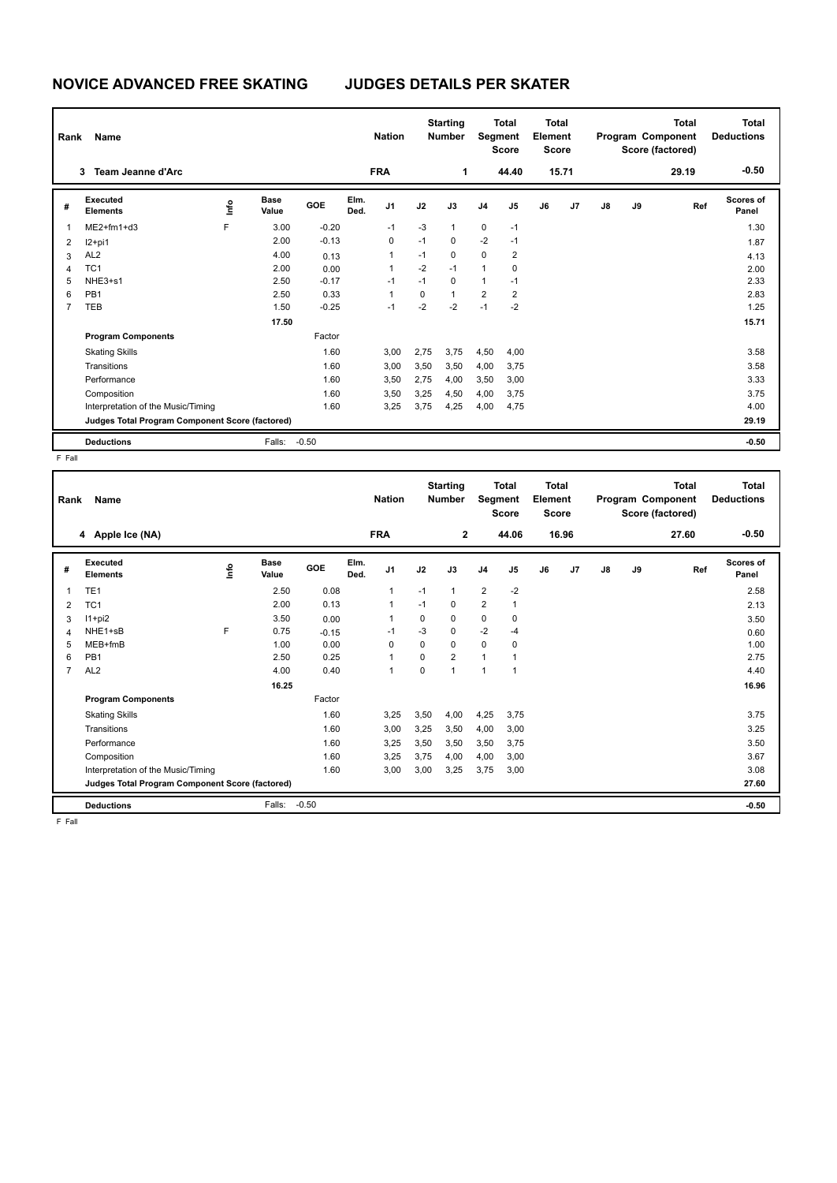| Rank<br>Name   |                                                 |      |                      |         |              | <b>Nation</b>  | <b>Starting</b><br><b>Number</b> |              | <b>Total</b><br>Segment<br><b>Score</b> |                | <b>Total</b><br>Element<br><b>Score</b> |       | <b>Total</b><br>Program Component<br>Score (factored) |    |       | <b>Total</b><br><b>Deductions</b> |
|----------------|-------------------------------------------------|------|----------------------|---------|--------------|----------------|----------------------------------|--------------|-----------------------------------------|----------------|-----------------------------------------|-------|-------------------------------------------------------|----|-------|-----------------------------------|
|                | <b>Team Jeanne d'Arc</b><br>3                   |      |                      |         |              | <b>FRA</b>     |                                  | 1            |                                         | 44.40          |                                         | 15.71 |                                                       |    | 29.19 | $-0.50$                           |
| #              | Executed<br><b>Elements</b>                     | ١nfo | <b>Base</b><br>Value | GOE     | Elm.<br>Ded. | J <sub>1</sub> | J2                               | J3           | J <sub>4</sub>                          | J5             | J6                                      | J7    | J8                                                    | J9 | Ref   | <b>Scores of</b><br>Panel         |
| $\overline{1}$ | $ME2+fm1+d3$                                    | F    | 3.00                 | $-0.20$ |              | $-1$           | $-3$                             | $\mathbf{1}$ | $\mathbf 0$                             | $-1$           |                                         |       |                                                       |    |       | 1.30                              |
| 2              | $12+pi1$                                        |      | 2.00                 | $-0.13$ |              | 0              | $-1$                             | $\mathbf 0$  | $-2$                                    | $-1$           |                                         |       |                                                       |    |       | 1.87                              |
| 3              | AL <sub>2</sub>                                 |      | 4.00                 | 0.13    |              | 1              | $-1$                             | $\mathbf 0$  | $\mathbf 0$                             | $\overline{2}$ |                                         |       |                                                       |    |       | 4.13                              |
| $\overline{4}$ | TC <sub>1</sub>                                 |      | 2.00                 | 0.00    |              | $\mathbf{1}$   | $-2$                             | $-1$         | $\mathbf{1}$                            | 0              |                                         |       |                                                       |    |       | 2.00                              |
| 5              | NHE3+s1                                         |      | 2.50                 | $-0.17$ |              | -1             | $-1$                             | 0            | $\mathbf{1}$                            | $-1$           |                                         |       |                                                       |    |       | 2.33                              |
| 6              | PB <sub>1</sub>                                 |      | 2.50                 | 0.33    |              | 1              | 0                                | $\mathbf{1}$ | $\overline{2}$                          | $\overline{2}$ |                                         |       |                                                       |    |       | 2.83                              |
| $\overline{7}$ | <b>TEB</b>                                      |      | 1.50                 | $-0.25$ |              | $-1$           | $-2$                             | $-2$         | $-1$                                    | $-2$           |                                         |       |                                                       |    |       | 1.25                              |
|                |                                                 |      | 17.50                |         |              |                |                                  |              |                                         |                |                                         |       |                                                       |    |       | 15.71                             |
|                | <b>Program Components</b>                       |      |                      | Factor  |              |                |                                  |              |                                         |                |                                         |       |                                                       |    |       |                                   |
|                | <b>Skating Skills</b>                           |      |                      | 1.60    |              | 3.00           | 2.75                             | 3.75         | 4,50                                    | 4,00           |                                         |       |                                                       |    |       | 3.58                              |
|                | Transitions                                     |      |                      | 1.60    |              | 3,00           | 3,50                             | 3,50         | 4,00                                    | 3,75           |                                         |       |                                                       |    |       | 3.58                              |
|                | Performance                                     |      |                      | 1.60    |              | 3,50           | 2,75                             | 4,00         | 3,50                                    | 3,00           |                                         |       |                                                       |    |       | 3.33                              |
|                | Composition                                     |      |                      | 1.60    |              | 3,50           | 3,25                             | 4,50         | 4,00                                    | 3,75           |                                         |       |                                                       |    |       | 3.75                              |
|                | Interpretation of the Music/Timing              |      |                      | 1.60    |              | 3,25           | 3,75                             | 4,25         | 4,00                                    | 4,75           |                                         |       |                                                       |    |       | 4.00                              |
|                | Judges Total Program Component Score (factored) |      |                      |         |              |                |                                  |              |                                         |                |                                         |       |                                                       |    |       | 29.19                             |
|                | <b>Deductions</b>                               |      | Falls:               | $-0.50$ |              |                |                                  |              |                                         |                |                                         |       |                                                       |    |       | $-0.50$                           |

F Fall

| Rank           | Name<br>4 Apple Ice (NA)                        |      |                      |         | <b>Nation</b><br><b>FRA</b> |                | <b>Starting</b><br><b>Number</b><br>$\mathbf{2}$ |                | <b>Total</b><br>Segment<br><b>Score</b><br>44.06 |                | <b>Total</b><br>Element<br><b>Score</b><br>16.96 |    |               | <b>Total</b><br>Program Component<br>Score (factored)<br>27.60 | <b>Total</b><br><b>Deductions</b><br>$-0.50$ |                           |
|----------------|-------------------------------------------------|------|----------------------|---------|-----------------------------|----------------|--------------------------------------------------|----------------|--------------------------------------------------|----------------|--------------------------------------------------|----|---------------|----------------------------------------------------------------|----------------------------------------------|---------------------------|
|                |                                                 |      |                      |         |                             |                |                                                  |                |                                                  |                |                                                  |    |               |                                                                |                                              |                           |
| #              | Executed<br><b>Elements</b>                     | ١mfo | <b>Base</b><br>Value | GOE     | Elm.<br>Ded.                | J <sub>1</sub> | J2                                               | J3             | J <sub>4</sub>                                   | J <sub>5</sub> | J6                                               | J7 | $\mathsf{J}8$ | J9                                                             | Ref                                          | <b>Scores of</b><br>Panel |
| 1              | TE <sub>1</sub>                                 |      | 2.50                 | 0.08    |                             | 1              | $-1$                                             | $\mathbf{1}$   | $\overline{2}$                                   | $-2$           |                                                  |    |               |                                                                |                                              | 2.58                      |
| $\overline{2}$ | TC <sub>1</sub>                                 |      | 2.00                 | 0.13    |                             | 1              | $-1$                                             | $\Omega$       | $\overline{2}$                                   | $\mathbf{1}$   |                                                  |    |               |                                                                |                                              | 2.13                      |
| 3              | $11+pi2$                                        |      | 3.50                 | 0.00    |                             | 1              | 0                                                | 0              | 0                                                | 0              |                                                  |    |               |                                                                |                                              | 3.50                      |
| $\overline{4}$ | NHE1+sB                                         | F    | 0.75                 | $-0.15$ |                             | $-1$           | $-3$                                             | $\mathbf 0$    | $-2$                                             | $-4$           |                                                  |    |               |                                                                |                                              | 0.60                      |
| 5              | MEB+fmB                                         |      | 1.00                 | 0.00    |                             | $\Omega$       | 0                                                | $\mathbf 0$    | $\mathbf 0$                                      | 0              |                                                  |    |               |                                                                |                                              | 1.00                      |
| 6              | PB <sub>1</sub>                                 |      | 2.50                 | 0.25    |                             | 1              | 0                                                | $\overline{2}$ | $\mathbf{1}$                                     | 1              |                                                  |    |               |                                                                |                                              | 2.75                      |
| $\overline{7}$ | AL <sub>2</sub>                                 |      | 4.00                 | 0.40    |                             | 1              | 0                                                | $\overline{1}$ | $\mathbf{1}$                                     | $\overline{1}$ |                                                  |    |               |                                                                |                                              | 4.40                      |
|                |                                                 |      | 16.25                |         |                             |                |                                                  |                |                                                  |                |                                                  |    |               |                                                                |                                              | 16.96                     |
|                | <b>Program Components</b>                       |      |                      | Factor  |                             |                |                                                  |                |                                                  |                |                                                  |    |               |                                                                |                                              |                           |
|                | <b>Skating Skills</b>                           |      |                      | 1.60    |                             | 3,25           | 3,50                                             | 4,00           | 4,25                                             | 3.75           |                                                  |    |               |                                                                |                                              | 3.75                      |
|                | Transitions                                     |      |                      | 1.60    |                             | 3,00           | 3,25                                             | 3,50           | 4,00                                             | 3,00           |                                                  |    |               |                                                                |                                              | 3.25                      |
|                | Performance                                     |      |                      | 1.60    |                             | 3,25           | 3,50                                             | 3,50           | 3,50                                             | 3,75           |                                                  |    |               |                                                                |                                              | 3.50                      |
|                | Composition                                     |      |                      | 1.60    |                             | 3,25           | 3,75                                             | 4,00           | 4,00                                             | 3,00           |                                                  |    |               |                                                                |                                              | 3.67                      |
|                | Interpretation of the Music/Timing              |      |                      | 1.60    |                             | 3,00           | 3,00                                             | 3,25           | 3,75                                             | 3,00           |                                                  |    |               |                                                                |                                              | 3.08                      |
|                | Judges Total Program Component Score (factored) |      |                      |         |                             |                |                                                  |                |                                                  |                |                                                  |    |               |                                                                |                                              | 27.60                     |
|                | <b>Deductions</b>                               |      | Falls:               | $-0.50$ |                             |                |                                                  |                |                                                  |                |                                                  |    |               |                                                                |                                              | $-0.50$                   |
| F Fall         |                                                 |      |                      |         |                             |                |                                                  |                |                                                  |                |                                                  |    |               |                                                                |                                              |                           |